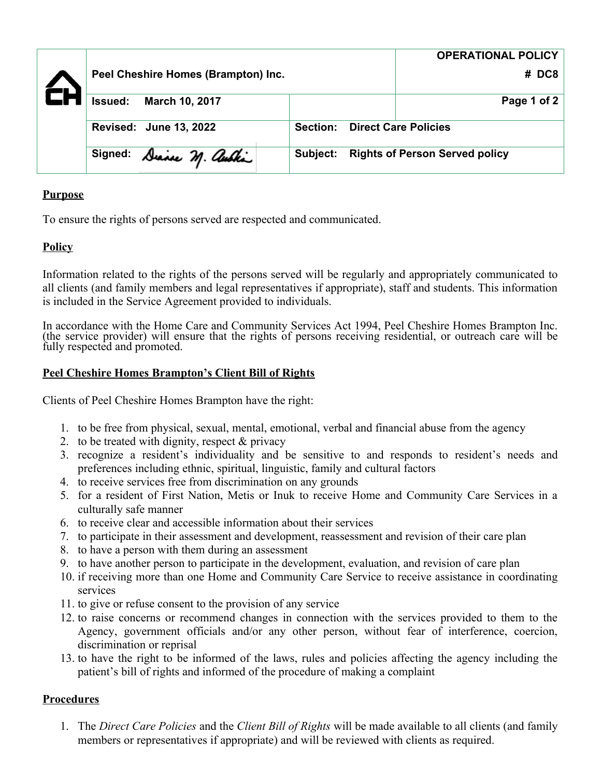|                                     |                          |          |                             |       | <b>OPERATIONAL POLICY</b>             |
|-------------------------------------|--------------------------|----------|-----------------------------|-------|---------------------------------------|
| Peel Cheshire Homes (Brampton) Inc. |                          |          |                             | # DC8 |                                       |
| <b>Issued:</b>                      | March 10, 2017           |          |                             |       | Page 1 of 2                           |
| Revised: June 13, 2022              |                          | Section: | <b>Direct Care Policies</b> |       |                                       |
|                                     | Signed: Diance M. auchin |          | <b>Subject:</b>             |       | <b>Rights of Person Served policy</b> |

# **Purpose**

To ensure the rights of persons served are respected and communicated.

# **Policy**

Information related to the rights of the persons served will be regularly and appropriately communicated to all clients (and family members and legal representatives if appropriate), staff and students. This information is included in the Service Agreement provided to individuals.

In accordance with the Home Care and Community Services Act 1994, Peel Cheshire Homes Brampton Inc. (the service provider) will ensure that the rights of persons receiving residential, or outreach care will be fully respected and promoted.

## **Peel Cheshire Homes Brampton's Client Bill of Rights**

Clients of Peel Cheshire Homes Brampton have the right:

- 1. to be free from physical, sexual, mental, emotional, verbal and financial abuse from the agency
- 2. to be treated with dignity, respect & privacy
- 3. recognize a resident's individuality and be sensitive to and responds to resident's needs and preferences including ethnic, spiritual, linguistic, family and cultural factors
- 4. to receive services free from discrimination on any grounds
- 5. for a resident of First Nation, Metis or Inuk to receive Home and Community Care Services in a culturally safe manner
- 6. to receive clear and accessible information about their services
- 7. to participate in their assessment and development, reassessment and revision of their care plan
- 8. to have a person with them during an assessment
- 9. to have another person to participate in the development, evaluation, and revision of care plan
- 10. if receiving more than one Home and Community Care Service to receive assistance in coordinating services
- 11. to give or refuse consent to the provision of any service
- 12. to raise concerns or recommend changes in connection with the services provided to them to the Agency, government officials and/or any other person, without fear of interference, coercion, discrimination or reprisal
- 13. to have the right to be informed of the laws, rules and policies affecting the agency including the patient's bill of rights and informed of the procedure of making a complaint

## **Procedures**

1. The *Direct Care Policies* and the *Client Bill of Rights* will be made available to all clients (and family members or representatives if appropriate) and will be reviewed with clients as required.